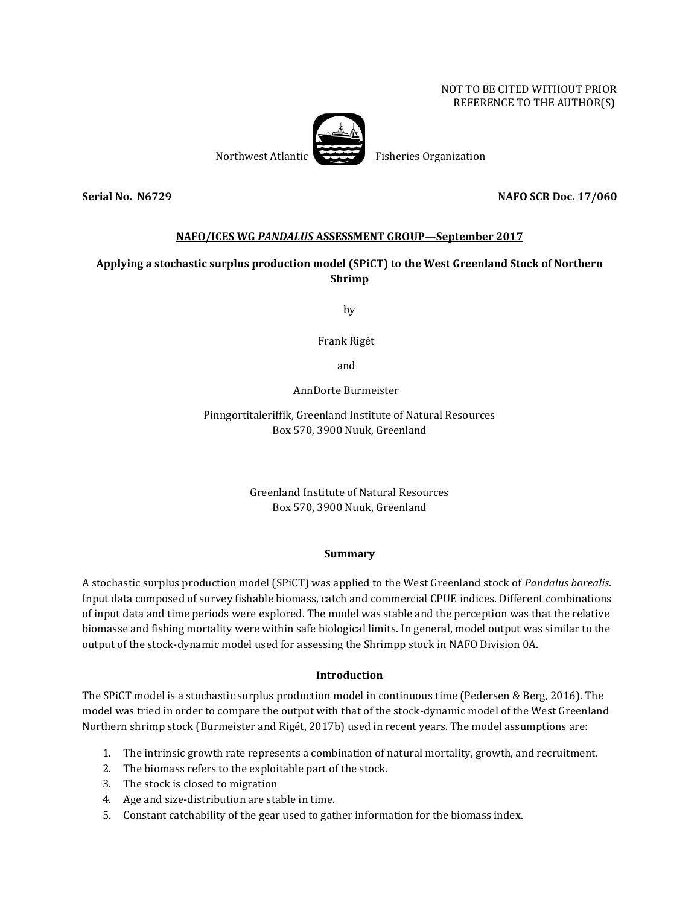### NOT TO BE CITED WITHOUT PRIOR REFERENCE TO THE AUTHOR(S)



## **Serial No. N6729 NAFO SCR Doc. 17/060**

## **NAFO/ICES WG** *PANDALUS* **ASSESSMENT GROUP—September 2017**

# **Applying a stochastic surplus production model (SPiCT) to the West Greenland Stock of Northern Shrimp**

by

Frank Rigét

and

AnnDorte Burmeister

Pinngortitaleriffik, Greenland Institute of Natural Resources Box 570, 3900 Nuuk, Greenland

> Greenland Institute of Natural Resources Box 570, 3900 Nuuk, Greenland

## **Summary**

A stochastic surplus production model (SPiCT) was applied to the West Greenland stock of *Pandalus borealis*. Input data composed of survey fishable biomass, catch and commercial CPUE indices. Different combinations of input data and time periods were explored. The model was stable and the perception was that the relative biomasse and fishing mortality were within safe biological limits. In general, model output was similar to the output of the stock-dynamic model used for assessing the Shrimpp stock in NAFO Division 0A.

## **Introduction**

The SPiCT model is a stochastic surplus production model in continuous time (Pedersen & Berg, 2016). The model was tried in order to compare the output with that of the stock-dynamic model of the West Greenland Northern shrimp stock (Burmeister and Rigét, 2017b) used in recent years. The model assumptions are:

- 1. The intrinsic growth rate represents a combination of natural mortality, growth, and recruitment.
- 2. The biomass refers to the exploitable part of the stock.
- 3. The stock is closed to migration
- 4. Age and size-distribution are stable in time.
- 5. Constant catchability of the gear used to gather information for the biomass index.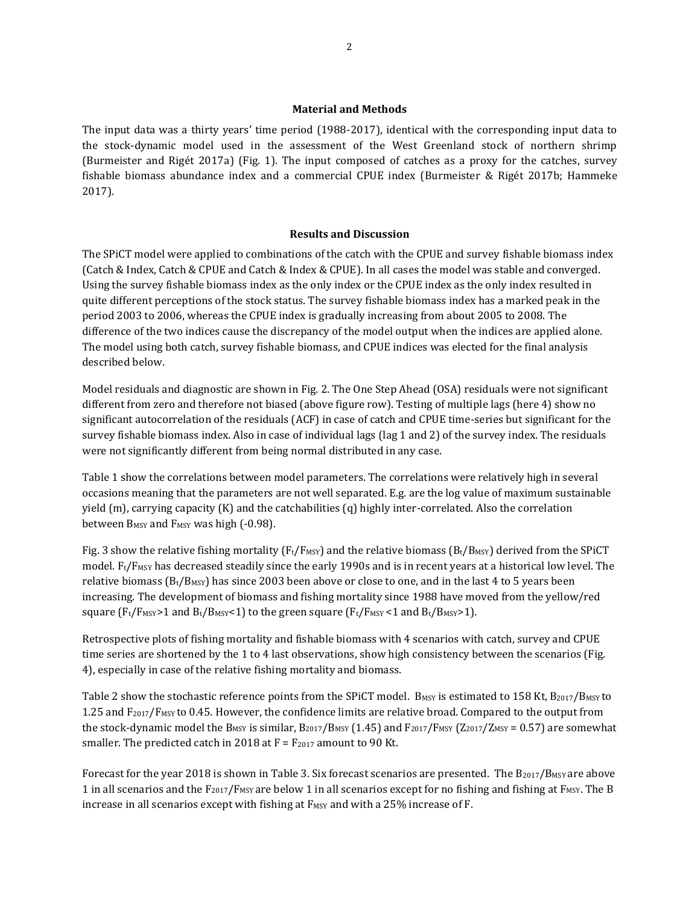### **Material and Methods**

The input data was a thirty years' time period (1988-2017), identical with the corresponding input data to the stock-dynamic model used in the assessment of the West Greenland stock of northern shrimp (Burmeister and Rigét 2017a) (Fig. 1). The input composed of catches as a proxy for the catches, survey fishable biomass abundance index and a commercial CPUE index (Burmeister & Rigét 2017b; Hammeke 2017).

### **Results and Discussion**

The SPiCT model were applied to combinations of the catch with the CPUE and survey fishable biomass index (Catch & Index, Catch & CPUE and Catch & Index & CPUE). In all cases the model was stable and converged. Using the survey fishable biomass index as the only index or the CPUE index as the only index resulted in quite different perceptions of the stock status. The survey fishable biomass index has a marked peak in the period 2003 to 2006, whereas the CPUE index is gradually increasing from about 2005 to 2008. The difference of the two indices cause the discrepancy of the model output when the indices are applied alone. The model using both catch, survey fishable biomass, and CPUE indices was elected for the final analysis described below.

Model residuals and diagnostic are shown in Fig. 2. The One Step Ahead (OSA) residuals were not significant different from zero and therefore not biased (above figure row). Testing of multiple lags (here 4) show no significant autocorrelation of the residuals (ACF) in case of catch and CPUE time-series but significant for the survey fishable biomass index. Also in case of individual lags (lag 1 and 2) of the survey index. The residuals were not significantly different from being normal distributed in any case.

Table 1 show the correlations between model parameters. The correlations were relatively high in several occasions meaning that the parameters are not well separated. E.g. are the log value of maximum sustainable yield (m), carrying capacity (K) and the catchabilities (q) highly inter-correlated. Also the correlation between B<sub>MSY</sub> and F<sub>MSY</sub> was high (-0.98).

Fig. 3 show the relative fishing mortality ( $F_t/F_{MSY}$ ) and the relative biomass ( $B_t/B_{MSY}$ ) derived from the SPiCT model.  $F_t/F_{MSY}$  has decreased steadily since the early 1990s and is in recent years at a historical low level. The relative biomass  $(B_t/B_{MSY})$  has since 2003 been above or close to one, and in the last 4 to 5 years been increasing. The development of biomass and fishing mortality since 1988 have moved from the yellow/red square ( $F_t/F_{MSY}$ >1 and  $B_t/B_{MSY}$ <1) to the green square ( $F_t/F_{MSY}$ <1 and  $B_t/B_{MSY}$ >1).

Retrospective plots of fishing mortality and fishable biomass with 4 scenarios with catch, survey and CPUE time series are shortened by the 1 to 4 last observations, show high consistency between the scenarios (Fig. 4), especially in case of the relative fishing mortality and biomass.

Table 2 show the stochastic reference points from the SPiCT model. B<sub>MSY</sub> is estimated to 158 Kt, B<sub>2017</sub>/B<sub>MSY</sub> to 1.25 and  $F_{2017}/F_{MSY}$  to 0.45. However, the confidence limits are relative broad. Compared to the output from the stock-dynamic model the B<sub>MSY</sub> is similar, B<sub>2017</sub>/B<sub>MSY</sub> (1.45) and F<sub>2017</sub>/F<sub>MSY</sub> (Z<sub>2017</sub>/Z<sub>MSY</sub> = 0.57) are somewhat smaller. The predicted catch in 2018 at  $F = F_{2017}$  amount to 90 Kt.

Forecast for the year 2018 is shown in Table 3. Six forecast scenarios are presented. The  $B_{2017}/B_{MSY}$  are above 1 in all scenarios and the  $F_{2017}/F_{MSY}$  are below 1 in all scenarios except for no fishing and fishing at  $F_{MSY}$ . The B increase in all scenarios except with fishing at F<sub>MSY</sub> and with a 25% increase of F.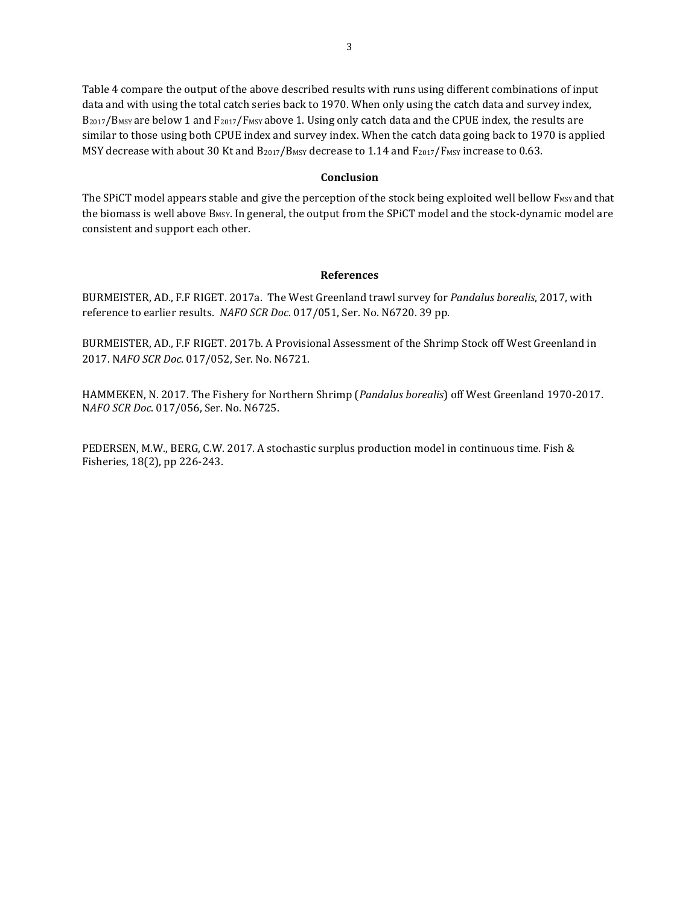Table 4 compare the output of the above described results with runs using different combinations of input data and with using the total catch series back to 1970. When only using the catch data and survey index,  $B_{2017}/B_{MSY}$  are below 1 and  $F_{2017}/F_{MSY}$  above 1. Using only catch data and the CPUE index, the results are similar to those using both CPUE index and survey index. When the catch data going back to 1970 is applied MSY decrease with about 30 Kt and B<sub>2017</sub>/B<sub>MSY</sub> decrease to 1.14 and F<sub>2017</sub>/F<sub>MSY</sub> increase to 0.63.

#### **Conclusion**

The SPiCT model appears stable and give the perception of the stock being exploited well bellow F<sub>MSY</sub> and that the biomass is well above B<sub>MSY</sub>. In general, the output from the SPiCT model and the stock-dynamic model are consistent and support each other.

#### **References**

BURMEISTER, AD., F.F RIGET. 2017a. The West Greenland trawl survey for *Pandalus borealis*, 2017, with reference to earlier results. *NAFO SCR Doc*. 017/051, Ser. No. N6720. 39 pp.

BURMEISTER, AD., F.F RIGET. 2017b. A Provisional Assessment of the Shrimp Stock off West Greenland in 2017. N*AFO SCR Doc*. 017/052, Ser. No. N6721.

HAMMEKEN, N. 2017. The Fishery for Northern Shrimp (*Pandalus borealis*) off West Greenland 1970-2017. N*AFO SCR Doc*. 017/056, Ser. No. N6725.

PEDERSEN, M.W., BERG, C.W. 2017. A stochastic surplus production model in continuous time. Fish & Fisheries, 18(2), pp 226-243.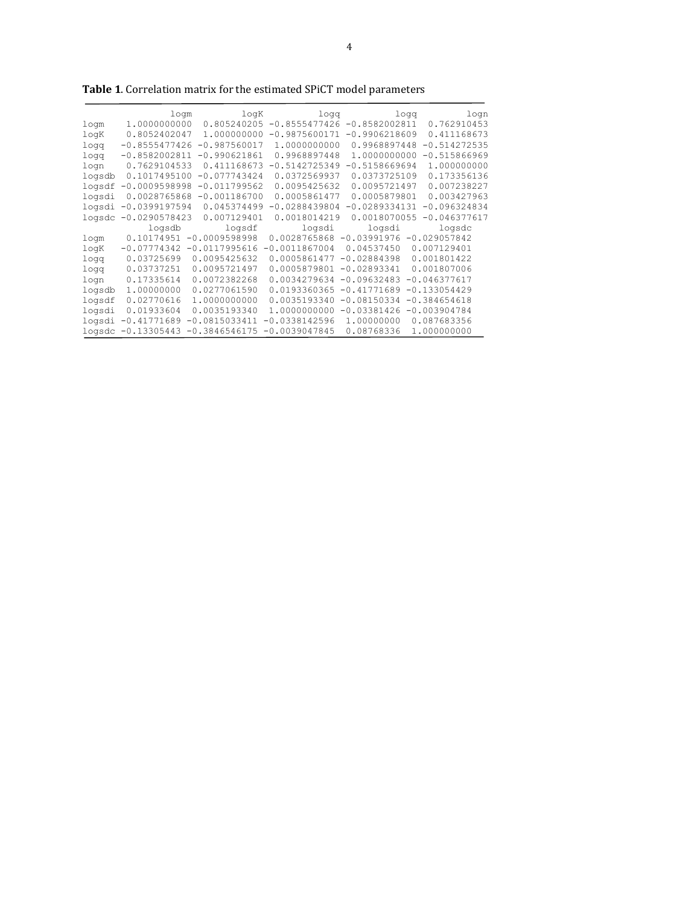|        | logm            | loqK                         | logg            | logg                           | logn           |
|--------|-----------------|------------------------------|-----------------|--------------------------------|----------------|
| logm   | 1.0000000000    | 0.805240205                  |                 | $-0.8555477426 - 0.8582002811$ | 0.762910453    |
| logK   | 0.8052402047    | 1.000000000                  | $-0.9875600171$ | $-0.9906218609$                | 0.411168673    |
| logg   | $-0.8555477426$ | $-0.987560017$               | 1,0000000000    | 0.9968897448                   | $-0.514272535$ |
| logg   | $-0.8582002811$ | $-0.990621861$               | 0.9968897448    | 1.0000000000                   | $-0.515866969$ |
| logn   | 0.7629104533    | 0.411168673                  | $-0.5142725349$ | $-0.5158669694$                | 1.000000000    |
| logsdb | 0.1017495100    | $-0.077743424$               | 0.0372569937    | 0.0373725109                   | 0.173356136    |
| logsdf | $-0.0009598998$ | $-0.011799562$               | 0.0095425632    | 0.0095721497                   | 0.007238227    |
| logsdi |                 | $0.0028765868 - 0.001186700$ | 0.0005861477    | 0.0005879801                   | 0.003427963    |
| logsdi | $-0.0399197594$ | 0.045374499                  | $-0.0288439804$ | $-0.0289334131$                | $-0.096324834$ |
| logsdc | $-0.0290578423$ | 0.007129401                  | 0.0018014219    | 0.0018070055                   | $-0.046377617$ |
|        | logsdb          | logsdf                       | logsdi          | logsdi                         | logsdc         |
| logm   |                 | $0.10174951 - 0.0009598998$  | 0.0028765868    | $-0.03991976 - 0.029057842$    |                |
| logK   | $-0.07774342$   | $-0.0117995616$              | $-0.0011867004$ | 0.04537450                     | 0.007129401    |
| logg   | 0.03725699      | 0.0095425632                 | 0.0005861477    | $-0.02884398$                  | 0.001801422    |
| logg   | 0.03737251      | 0.0095721497                 | 0.0005879801    | $-0.02893341$                  | 0.001807006    |
| logn   | 0.17335614      | 0.0072382268                 | 0.0034279634    | $-0.09632483$                  | $-0.046377617$ |
| logsdb | 1.00000000      | 0.0277061590                 | 0.0193360365    | $-0.41771689$                  | $-0.133054429$ |
| logsdf | 0.02770616      | 1.0000000000                 | 0.0035193340    | $-0.08150334$                  | $-0.384654618$ |
| logsdi | 0.01933604      | 0.0035193340                 | 1,0000000000    | $-0.03381426$                  | $-0.003904784$ |
| logsdi | $-0.41771689$   | $-0.0815033411$              | $-0.0338142596$ | 1,00000000                     | 0.087683356    |
| logsdc | $-0.13305443$   | $-0.3846546175$              | $-0.0039047845$ | 0.08768336                     | 1.000000000    |

**Table 1**. Correlation matrix for the estimated SPiCT model parameters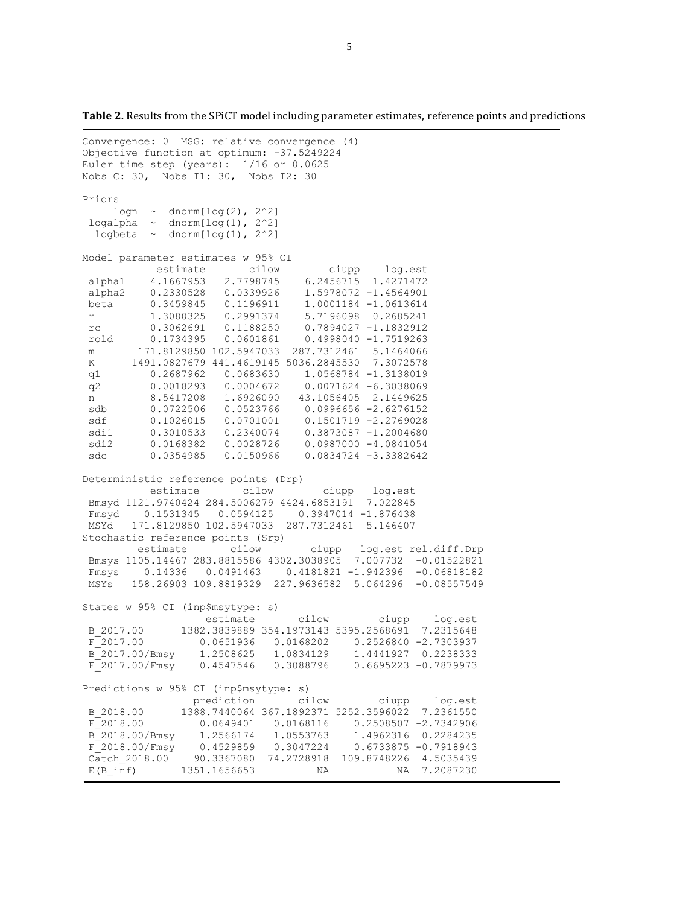**Table 2.** Results from the SPiCT model including parameter estimates, reference points and predictions

```
Convergence: 0 MSG: relative convergence (4)
Objective function at optimum: -37.5249224
Euler time step (years): 1/16 or 0.0625
Nobs C: 30, Nobs I1: 30, Nobs I2: 30
Priors
    logn \sim dnorm[log(2), 2^2]logalpha \sim dnorm[log(1), 2^2]logbeta \sim dnorm\lceil log(1), 2^2 \rceilModel parameter estimates w 95% CI 
           estimate cilow ciupp log.est 
alpha1 4.1667953 2.7798745 6.2456715 1.4271472 
alpha2 0.2330528 0.0339926 1.5978072 -1.4564901 
beta 0.3459845 0.1196911 1.0001184 -1.0613614 
r 1.3080325 0.2991374 5.7196098 0.2685241 
rc 0.3062691 0.1188250 0.7894027 -1.1832912 
rold 0.1734395 0.0601861 0.4998040 -1.7519263 
m 171.8129850 102.5947033 287.7312461 5.1464066 
K 1491.0827679 441.4619145 5036.2845530 7.3072578 
q1 0.2687962 0.0683630 1.0568784 -1.3138019 
 q2 0.0018293 0.0004672 0.0071624 -6.3038069 
 n 8.5417208 1.6926090 43.1056405 2.1449625<br>sdb 0.0722506 0.0523766 0.0996656-2.6276152
 sdb 0.0722506 0.0523766 0.0996656 -2.6276152 
 sdf 0.1026015 0.0701001 0.1501719 -2.2769028 
 sdi1 0.3010533 0.2340074 0.3873087 -1.2004680 
sdi2 0.0168382 0.0028726 0.0987000 -4.0841054 
sdc 0.0354985 0.0150966 0.0834724 -3.3382642 
Deterministic reference points (Drp)
           estimate cilow ciupp log.est 
Bmsyd 1121.9740424 284.5006279 4424.6853191 7.022845 
Fmsyd 0.1531345 0.0594125 0.3947014 -1.876438 
MSYd 171.8129850 102.5947033 287.7312461 5.146407 
Stochastic reference points (Srp)
         estimate cilow ciupp log.est rel.diff.Drp 
Bmsys 1105.14467 283.8815586 4302.3038905 7.007732 -0.01522821 
 Fmsys 0.14336 0.0491463 0.4181821 -1.942396 -0.06818182 
 MSYs 158.26903 109.8819329 227.9636582 5.064296 -0.08557549 
States w 95% CI (inp$msytype: s)
                   estimate cilow ciupp log.est 
B_2017.00 1382.3839889 354.1973143 5395.2568691 7.2315648 
F_2017.00 0.0651936 0.0168202 0.2526840 -2.7303937 
B_2017.00/Bmsy 1.2508625 1.0834129 1.4441927 0.2238333<br>F_2017.00/Fmsy 0.4547546 0.3088796 0.6695223 -0.7879973
F^-2017.00/Fmsy 0.4547546 0.3088796
Predictions w 95% CI (inp$msytype: s)
                 prediction cilow ciupp log.est 
B_2018.00 1388.7440064 367.1892371 5252.3596022 7.2361550 
F_2018.00 0.0649401 0.0168116 0.2508507 -2.7342906 
B<sup>-</sup>2018.00/Bmsy 1.2566174 1.0553763 1.4962316 0.2284235<br>F<sup>-</sup>2018.00/Fmsy 0.4529859 0.3047224 0.6733875 -0.7918943
F<sup>-2018.00/Fmsy 0.4529859 0.3047224</sup>
Catch 2018.00 90.3367080 74.2728918 109.8748226 4.5035439
E(B_inf) 1351.1656653 NA NA 7.2087230
```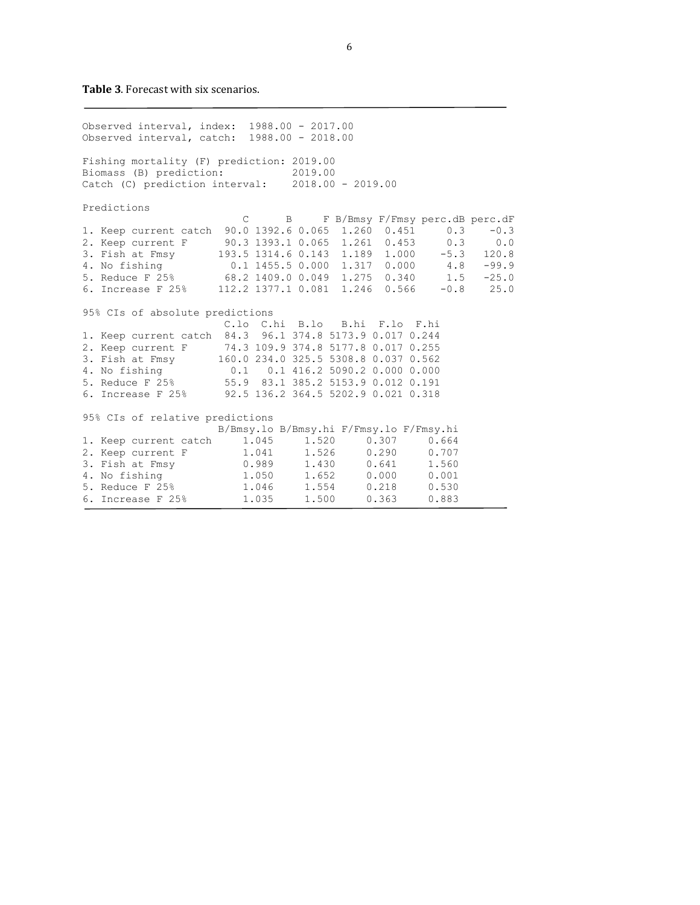**Table 3**. Forecast with six scenarios.

Observed interval, index: 1988.00 - 2017.00 Observed interval, catch: 1988.00 - 2018.00 Fishing mortality (F) prediction: 2019.00 Biomass (B) prediction: 2019.00 Catch (C) prediction interval: 2018.00 - 2019.00 Predictions C B F B/Bmsy F/Fmsy perc.dB perc.dF 1. Keep current catch 90.0 1392.6 0.065 1.260 0.451 0.3 -0.3<br>2. Keep current F 90.3 1393.1 0.065 1.261 0.453 0.3 0.0 2. Keep current F 90.3 1393.1 0.065 1.261 0.453 0.3 0.0 3. Fish at Fmsy 193.5 1314.6 0.143 1.189 1.000 -5.3 120.8 4. No fishing 0.1 1455.5 0.000 1.317 0.000 4.8 -99.9 5. Reduce F 25% 68.2 1409.0 0.049 1.275 0.340 1.5 -25.0 6. Increase F 25% 112.2 1377.1 0.081 1.246 0.566 -0.8 25.0 95% CIs of absolute predictions C.lo C.hi B.lo B.hi F.lo F.hi 1. Keep current catch 84.3 96.1 374.8 5173.9 0.017 0.244 2. Keep current F 74.3 109.9 374.8 5177.8 0.017 0.255 3. Fish at Fmsy 160.0 234.0 325.5 5308.8 0.037 0.562 4. No fishing 0.1 0.1 416.2 5090.2 0.000 0.000 5. Reduce F 25% 55.9 83.1 385.2 5153.9 0.012 0.191 6. Increase F 25% 92.5 136.2 364.5 5202.9 0.021 0.318 95% CIs of relative predictions B/Bmsy.lo B/Bmsy.hi F/Fmsy.lo F/Fmsy.hi 1. Keep current catch  $1.045$   $1.520$   $0.307$   $0.664$ <br>
2. Keep current F  $1.041$   $1.526$   $0.290$   $0.707$ <br>
3. Fish at Fmsy  $0.989$   $1.430$   $0.641$   $1.560$ 2. Keep current F  $1.041$   $1.526$   $0.290$   $0.707$ <br>3. Fish at Fmsy  $0.989$   $1.430$   $0.641$   $1.560$ 3. Fish at Fmsy  $0.989$   $1.430$   $0.641$   $1.560$ <br>4. No fishing  $1.050$   $1.652$   $0.000$   $0.001$ 4. No fishing  $1.050$   $1.652$   $0.000$   $0.001$ <br>5. Reduce F 25%  $1.046$   $1.554$   $0.218$   $0.530$ 5. Reduce F 25% 1.046 1.554 0.218 0.530 6. Increase F 25% 1.035 1.500 0.363 0.883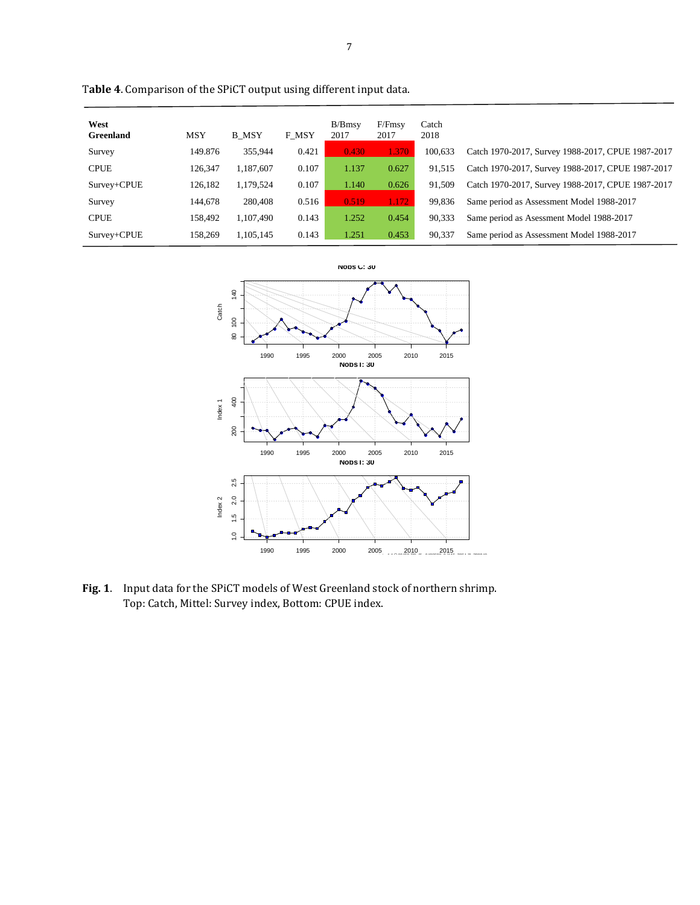| West<br><b>Greenland</b> | <b>MSY</b> | <b>B</b> MSY | F MSY | B/Bmsv<br>2017 | F/Fmsy<br>2017 | Catch<br>2018 |                                                   |
|--------------------------|------------|--------------|-------|----------------|----------------|---------------|---------------------------------------------------|
| Survey                   | 149.876    | 355.944      | 0.421 | 0.430          | 1.370          | 100.633       | Catch 1970-2017, Survey 1988-2017, CPUE 1987-2017 |
| <b>CPUE</b>              | 126,347    | 1,187,607    | 0.107 | 1.137          | 0.627          | 91,515        | Catch 1970-2017, Survey 1988-2017, CPUE 1987-2017 |
| Survey+CPUE              | 126,182    | 1,179,524    | 0.107 | 1.140          | 0.626          | 91,509        | Catch 1970-2017, Survey 1988-2017, CPUE 1987-2017 |
| Survey                   | 144,678    | 280,408      | 0.516 | 0.519          | 1.172          | 99,836        | Same period as Assessment Model 1988-2017         |
| <b>CPUE</b>              | 158.492    | 1.107.490    | 0.143 | 1.252          | 0.454          | 90,333        | Same period as Asessment Model 1988-2017          |
| Survey+CPUE              | 158,269    | 1,105,145    | 0.143 | 1.251          | 0.453          | 90,337        | Same period as Assessment Model 1988-2017         |

T**able 4**. Comparison of the SPiCT output using different input data.



**Fig. 1**. Input data for the SPiCT models of West Greenland stock of northern shrimp. Top: Catch, Mittel: Survey index, Bottom: CPUE index.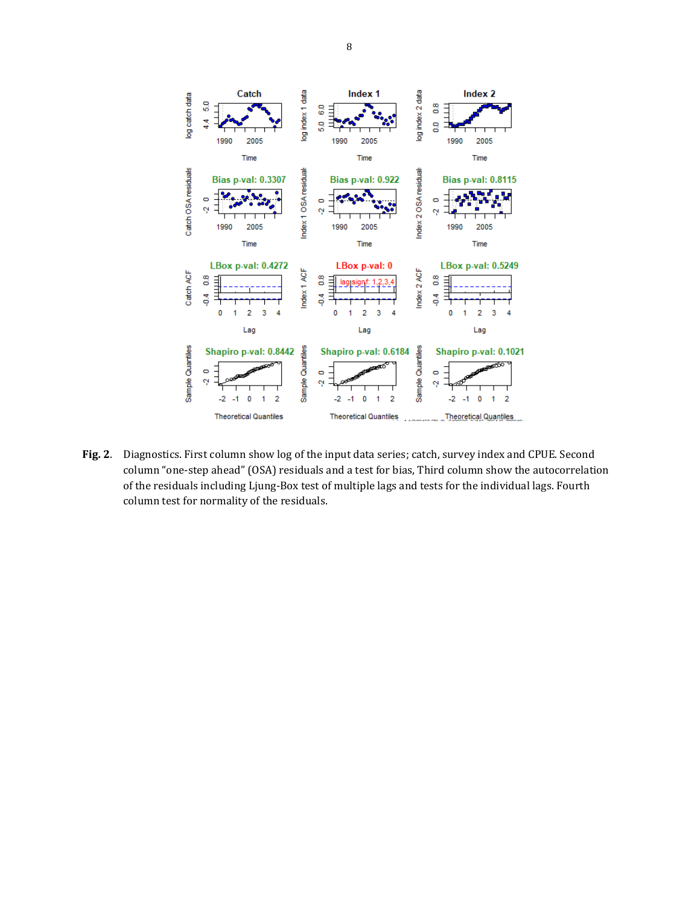

**Fig. 2**. Diagnostics. First column show log of the input data series; catch, survey index and CPUE. Second column "one-step ahead" (OSA) residuals and a test for bias, Third column show the autocorrelation of the residuals including Ljung-Box test of multiple lags and tests for the individual lags. Fourth column test for normality of the residuals.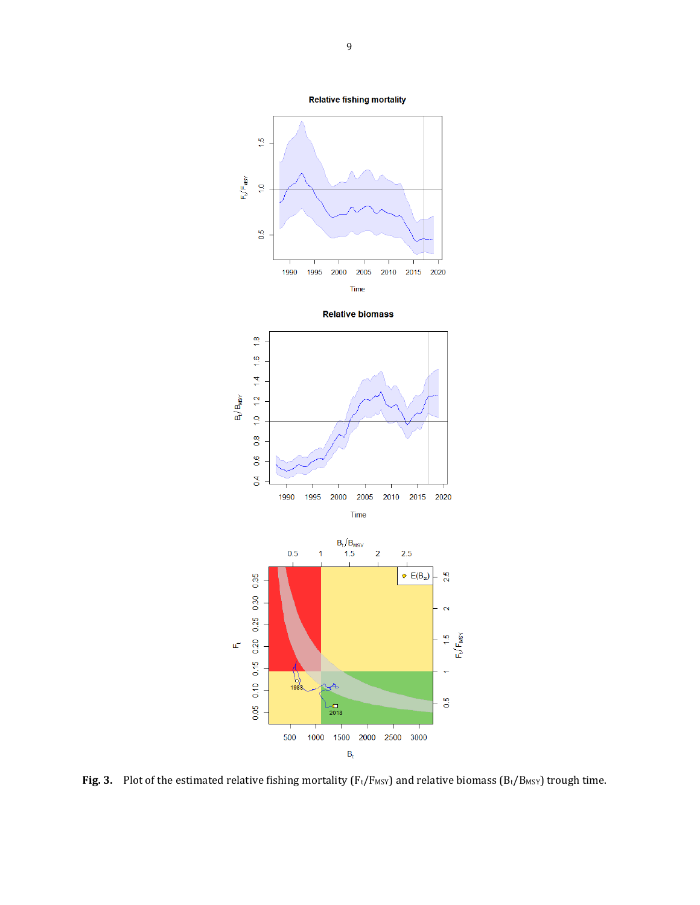

**Fig. 3.** Plot of the estimated relative fishing mortality ( $F_t/F_{MSY}$ ) and relative biomass ( $B_t/B_{MSY}$ ) trough time.